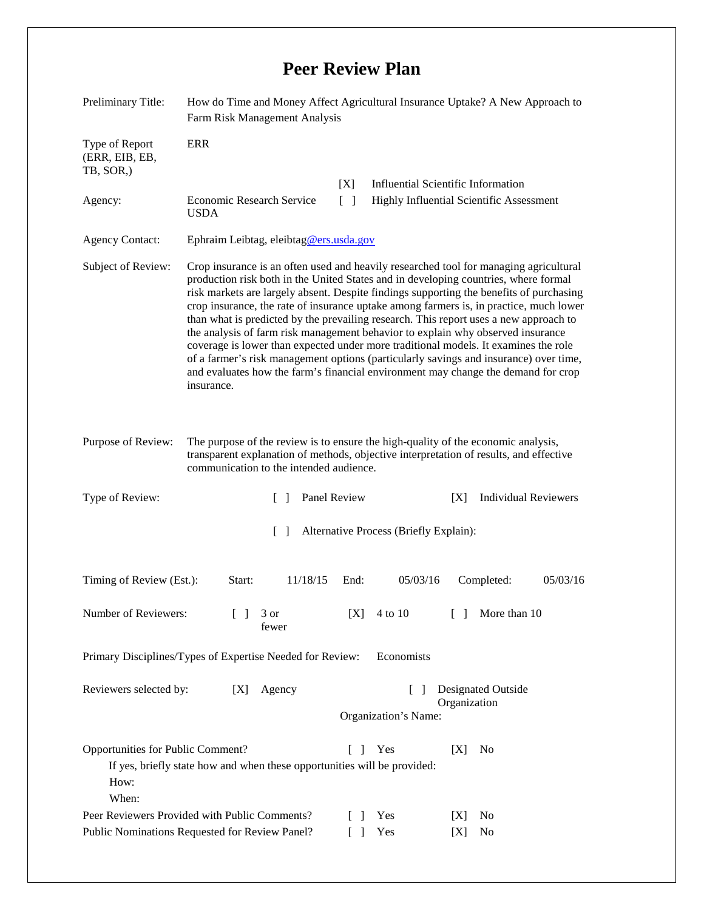## **Peer Review Plan**

| Preliminary Title:                                                                                  | How do Time and Money Affect Agricultural Insurance Uptake? A New Approach to<br>Farm Risk Management Analysis                                                                                                                                                                                                                                                                                                                                                                                                                                                                                                                                                                                                                                                                                                                   |                                                                          |                  |                                                                                  |            |                      |          |  |
|-----------------------------------------------------------------------------------------------------|----------------------------------------------------------------------------------------------------------------------------------------------------------------------------------------------------------------------------------------------------------------------------------------------------------------------------------------------------------------------------------------------------------------------------------------------------------------------------------------------------------------------------------------------------------------------------------------------------------------------------------------------------------------------------------------------------------------------------------------------------------------------------------------------------------------------------------|--------------------------------------------------------------------------|------------------|----------------------------------------------------------------------------------|------------|----------------------|----------|--|
| Type of Report<br>(ERR, EIB, EB,<br>TB, SOR,)                                                       | <b>ERR</b>                                                                                                                                                                                                                                                                                                                                                                                                                                                                                                                                                                                                                                                                                                                                                                                                                       |                                                                          |                  |                                                                                  |            |                      |          |  |
|                                                                                                     |                                                                                                                                                                                                                                                                                                                                                                                                                                                                                                                                                                                                                                                                                                                                                                                                                                  |                                                                          | [X]              | <b>Influential Scientific Information</b>                                        |            |                      |          |  |
| Agency:                                                                                             | Economic Research Service<br><b>USDA</b>                                                                                                                                                                                                                                                                                                                                                                                                                                                                                                                                                                                                                                                                                                                                                                                         |                                                                          |                  | $\lceil \rceil$<br>Highly Influential Scientific Assessment                      |            |                      |          |  |
| <b>Agency Contact:</b>                                                                              | Ephraim Leibtag, eleibtag@ers.usda.gov                                                                                                                                                                                                                                                                                                                                                                                                                                                                                                                                                                                                                                                                                                                                                                                           |                                                                          |                  |                                                                                  |            |                      |          |  |
| Subject of Review:                                                                                  | Crop insurance is an often used and heavily researched tool for managing agricultural<br>production risk both in the United States and in developing countries, where formal<br>risk markets are largely absent. Despite findings supporting the benefits of purchasing<br>crop insurance, the rate of insurance uptake among farmers is, in practice, much lower<br>than what is predicted by the prevailing research. This report uses a new approach to<br>the analysis of farm risk management behavior to explain why observed insurance<br>coverage is lower than expected under more traditional models. It examines the role<br>of a farmer's risk management options (particularly savings and insurance) over time,<br>and evaluates how the farm's financial environment may change the demand for crop<br>insurance. |                                                                          |                  |                                                                                  |            |                      |          |  |
| Purpose of Review:                                                                                  | The purpose of the review is to ensure the high-quality of the economic analysis,<br>transparent explanation of methods, objective interpretation of results, and effective<br>communication to the intended audience.                                                                                                                                                                                                                                                                                                                                                                                                                                                                                                                                                                                                           |                                                                          |                  |                                                                                  |            |                      |          |  |
| Type of Review:                                                                                     | Panel Review<br><b>Individual Reviewers</b><br>[X]<br>$\mathbf{1}$                                                                                                                                                                                                                                                                                                                                                                                                                                                                                                                                                                                                                                                                                                                                                               |                                                                          |                  |                                                                                  |            |                      |          |  |
| Alternative Process (Briefly Explain):<br>$\Box$                                                    |                                                                                                                                                                                                                                                                                                                                                                                                                                                                                                                                                                                                                                                                                                                                                                                                                                  |                                                                          |                  |                                                                                  |            |                      |          |  |
| Timing of Review (Est.):                                                                            | Start:                                                                                                                                                                                                                                                                                                                                                                                                                                                                                                                                                                                                                                                                                                                                                                                                                           | 11/18/15                                                                 | End:             | 05/03/16                                                                         |            | Completed:           | 05/03/16 |  |
| Number of Reviewers:<br>$\Box$                                                                      |                                                                                                                                                                                                                                                                                                                                                                                                                                                                                                                                                                                                                                                                                                                                                                                                                                  | 3 or<br>fewer                                                            | [X]              | 4 to 10                                                                          | $\Box$     | More than 10         |          |  |
| Primary Disciplines/Types of Expertise Needed for Review:<br>Economists                             |                                                                                                                                                                                                                                                                                                                                                                                                                                                                                                                                                                                                                                                                                                                                                                                                                                  |                                                                          |                  |                                                                                  |            |                      |          |  |
| Reviewers selected by:<br>[X]                                                                       |                                                                                                                                                                                                                                                                                                                                                                                                                                                                                                                                                                                                                                                                                                                                                                                                                                  | Agency                                                                   |                  | Designated Outside<br>$\lceil \; \rceil$<br>Organization<br>Organization's Name: |            |                      |          |  |
| Opportunities for Public Comment?<br>How:<br>When:<br>Peer Reviewers Provided with Public Comments? |                                                                                                                                                                                                                                                                                                                                                                                                                                                                                                                                                                                                                                                                                                                                                                                                                                  | If yes, briefly state how and when these opportunities will be provided: | $\Box$<br>$\Box$ | Yes<br>Yes                                                                       | [X]<br>[X] | N <sub>0</sub><br>No |          |  |
| Public Nominations Requested for Review Panel?                                                      |                                                                                                                                                                                                                                                                                                                                                                                                                                                                                                                                                                                                                                                                                                                                                                                                                                  |                                                                          |                  | Yes                                                                              | [X]        | No                   |          |  |